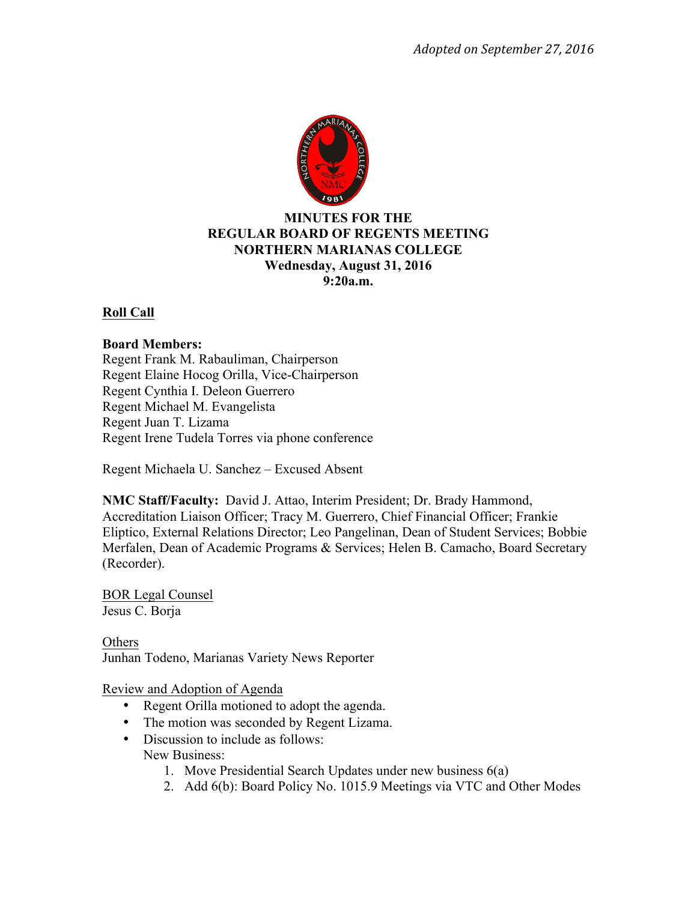

# **MINUTES FOR THE REGULAR BOARD OF REGENTS MEETING NORTHERN MARIANAS COLLEGE Wednesday, August 31, 2016 9:20a.m.**

# **Roll Call**

#### **Board Members:**

Regent Frank M. Rabauliman, Chairperson Regent Elaine Hocog Orilla, Vice-Chairperson Regent Cynthia I. Deleon Guerrero Regent Michael M. Evangelista Regent Juan T. Lizama Regent Irene Tudela Torres via phone conference

Regent Michaela U. Sanchez – Excused Absent

**NMC Staff/Faculty:** David J. Attao, Interim President; Dr. Brady Hammond, Accreditation Liaison Officer; Tracy M. Guerrero, Chief Financial Officer; Frankie Eliptico, External Relations Director; Leo Pangelinan, Dean of Student Services; Bobbie Merfalen, Dean of Academic Programs & Services; Helen B. Camacho, Board Secretary (Recorder).

BOR Legal Counsel Jesus C. Borja

Others Junhan Todeno, Marianas Variety News Reporter

Review and Adoption of Agenda

- Regent Orilla motioned to adopt the agenda.
- The motion was seconded by Regent Lizama.
- Discussion to include as follows: New Business:
	- 1. Move Presidential Search Updates under new business 6(a)
	- 2. Add 6(b): Board Policy No. 1015.9 Meetings via VTC and Other Modes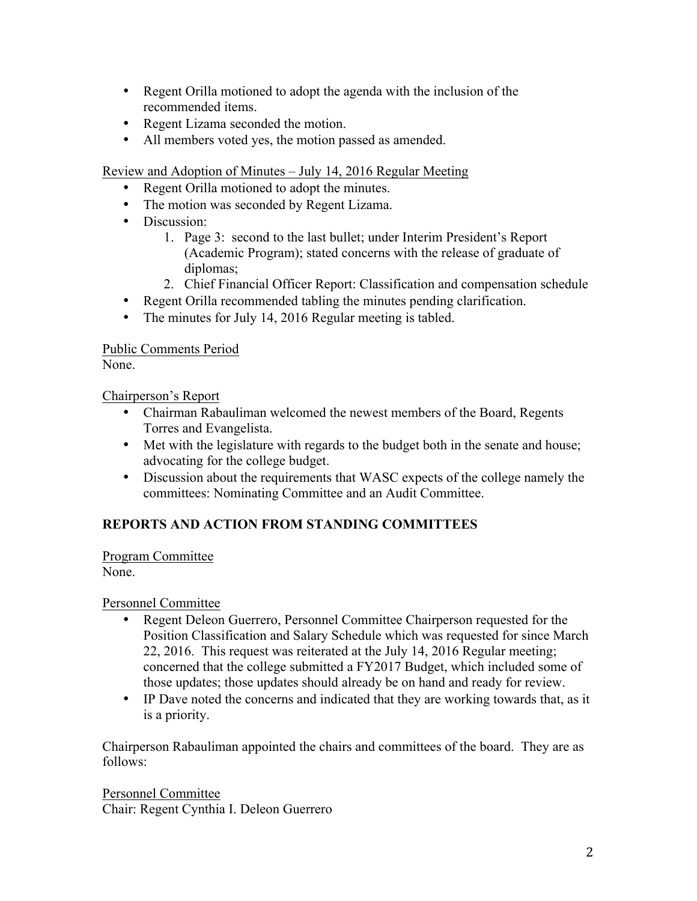- Regent Orilla motioned to adopt the agenda with the inclusion of the recommended items.
- Regent Lizama seconded the motion.
- All members voted yes, the motion passed as amended.

Review and Adoption of Minutes – July 14, 2016 Regular Meeting

- Regent Orilla motioned to adopt the minutes.
- The motion was seconded by Regent Lizama.
- Discussion:
	- 1. Page 3: second to the last bullet; under Interim President's Report (Academic Program); stated concerns with the release of graduate of diplomas;
	- 2. Chief Financial Officer Report: Classification and compensation schedule
- Regent Orilla recommended tabling the minutes pending clarification.
- The minutes for July 14, 2016 Regular meeting is tabled.

# Public Comments Period

None.

Chairperson's Report

- Chairman Rabauliman welcomed the newest members of the Board, Regents Torres and Evangelista.
- Met with the legislature with regards to the budget both in the senate and house; advocating for the college budget.
- Discussion about the requirements that WASC expects of the college namely the committees: Nominating Committee and an Audit Committee.

# **REPORTS AND ACTION FROM STANDING COMMITTEES**

Program Committee None.

Personnel Committee

- Regent Deleon Guerrero, Personnel Committee Chairperson requested for the Position Classification and Salary Schedule which was requested for since March 22, 2016. This request was reiterated at the July 14, 2016 Regular meeting; concerned that the college submitted a FY2017 Budget, which included some of those updates; those updates should already be on hand and ready for review.
- IP Dave noted the concerns and indicated that they are working towards that, as it is a priority.

Chairperson Rabauliman appointed the chairs and committees of the board. They are as follows:

Personnel Committee Chair: Regent Cynthia I. Deleon Guerrero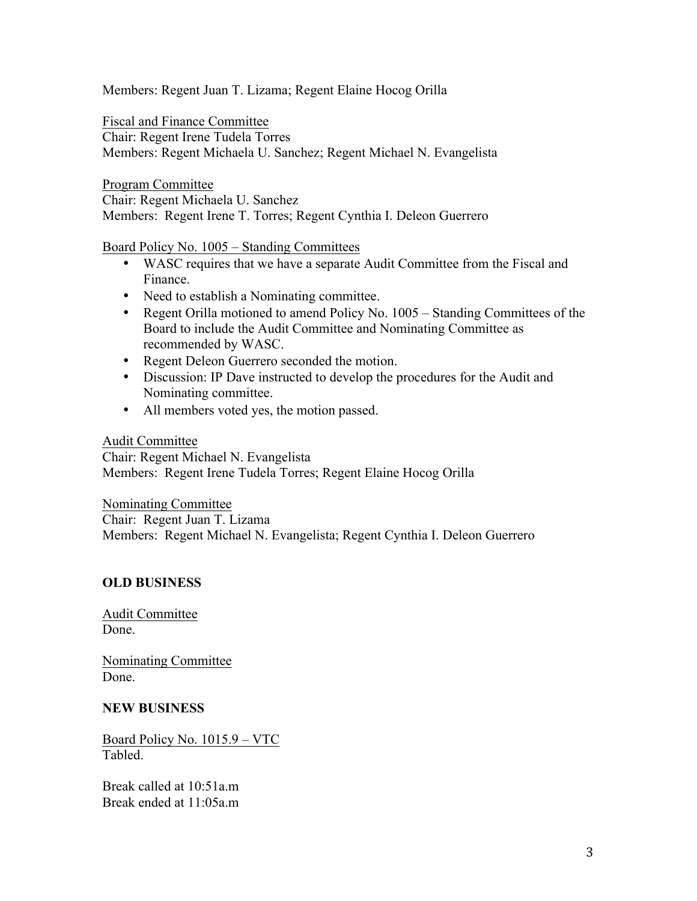Members: Regent Juan T. Lizama; Regent Elaine Hocog Orilla

Fiscal and Finance Committee

Chair: Regent Irene Tudela Torres Members: Regent Michaela U. Sanchez; Regent Michael N. Evangelista

Program Committee Chair: Regent Michaela U. Sanchez

Members: Regent Irene T. Torres; Regent Cynthia I. Deleon Guerrero

Board Policy No. 1005 – Standing Committees

- WASC requires that we have a separate Audit Committee from the Fiscal and Finance.
- Need to establish a Nominating committee.
- Regent Orilla motioned to amend Policy No. 1005 Standing Committees of the Board to include the Audit Committee and Nominating Committee as recommended by WASC.
- Regent Deleon Guerrero seconded the motion.
- Discussion: IP Dave instructed to develop the procedures for the Audit and Nominating committee.
- All members voted yes, the motion passed.

#### Audit Committee

Chair: Regent Michael N. Evangelista Members: Regent Irene Tudela Torres; Regent Elaine Hocog Orilla

Nominating Committee Chair: Regent Juan T. Lizama Members: Regent Michael N. Evangelista; Regent Cynthia I. Deleon Guerrero

# **OLD BUSINESS**

Audit Committee Done.

Nominating Committee Done.

# **NEW BUSINESS**

Board Policy No. 1015.9 – VTC Tabled.

Break called at 10:51a.m Break ended at 11:05a.m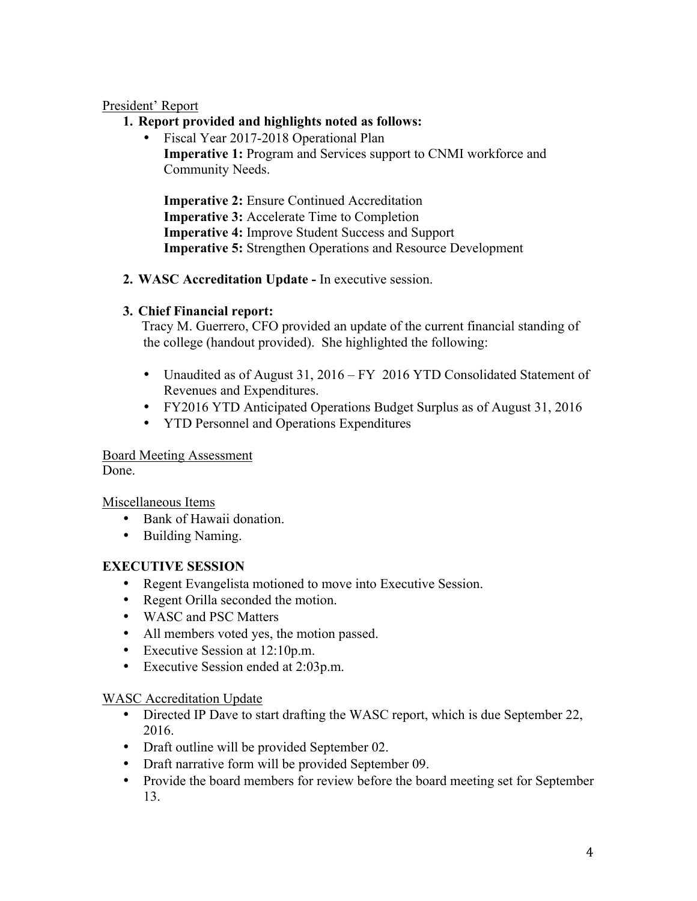#### President' Report

- **1. Report provided and highlights noted as follows:**
	- Fiscal Year 2017-2018 Operational Plan **Imperative 1:** Program and Services support to CNMI workforce and Community Needs.

**Imperative 2:** Ensure Continued Accreditation **Imperative 3:** Accelerate Time to Completion **Imperative 4:** Improve Student Success and Support **Imperative 5:** Strengthen Operations and Resource Development

# **2. WASC Accreditation Update -** In executive session.

# **3. Chief Financial report:**

Tracy M. Guerrero, CFO provided an update of the current financial standing of the college (handout provided). She highlighted the following:

- Unaudited as of August 31, 2016 FY 2016 YTD Consolidated Statement of Revenues and Expenditures.
- FY2016 YTD Anticipated Operations Budget Surplus as of August 31, 2016
- YTD Personnel and Operations Expenditures

Board Meeting Assessment Done.

Miscellaneous Items

- Bank of Hawaii donation.
- Building Naming.

# **EXECUTIVE SESSION**

- Regent Evangelista motioned to move into Executive Session.
- Regent Orilla seconded the motion.
- WASC and PSC Matters
- All members voted yes, the motion passed.
- Executive Session at 12:10p.m.
- Executive Session ended at 2:03p.m.

# WASC Accreditation Update

- Directed IP Dave to start drafting the WASC report, which is due September 22, 2016.
- Draft outline will be provided September 02.
- Draft narrative form will be provided September 09.
- Provide the board members for review before the board meeting set for September 13.